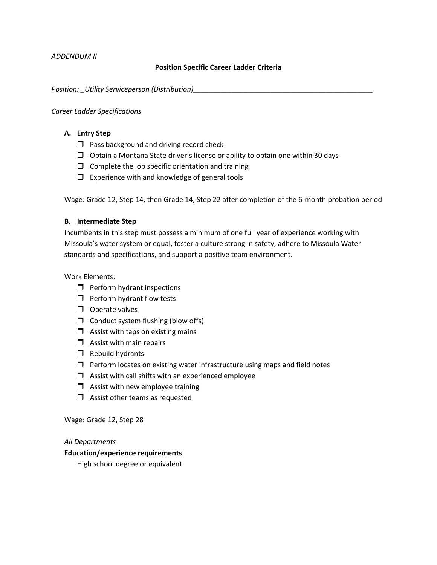### **Position Specific Career Ladder Criteria**

#### *Position:\_Utility Serviceperson (Distribution)\_*

#### *Career Ladder Specifications*

## **A. Entry Step**

- $\Box$  Pass background and driving record check
- $\Box$  Obtain a Montana State driver's license or ability to obtain one within 30 days
- $\Box$  Complete the job specific orientation and training
- $\Box$  Experience with and knowledge of general tools

Wage: Grade 12, Step 14, then Grade 14, Step 22 after completion of the 6-month probation period

### **B. Intermediate Step**

Incumbents in this step must possess a minimum of one full year of experience working with Missoula's water system or equal, foster a culture strong in safety, adhere to Missoula Water standards and specifications, and support a positive team environment.

Work Elements:

- $\Box$  Perform hydrant inspections
- $\Box$  Perform hydrant flow tests
- $\Box$  Operate valves
- $\Box$  Conduct system flushing (blow offs)
- $\Box$  Assist with taps on existing mains
- $\Box$  Assist with main repairs
- $\Box$  Rebuild hydrants
- $\Box$  Perform locates on existing water infrastructure using maps and field notes
- $\Box$  Assist with call shifts with an experienced employee
- $\Box$  Assist with new employee training
- $\Box$  Assist other teams as requested

Wage: Grade 12, Step 28

#### *All Departments*

# **Education/experience requirements**

High school degree or equivalent